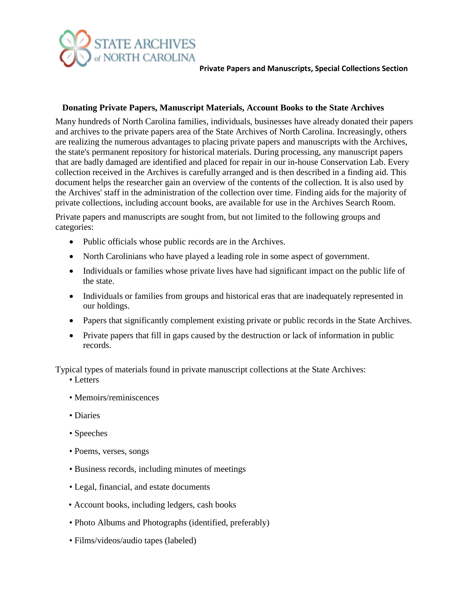

**Private Papers and Manuscripts, Special Collections Section**

## **Donating Private Papers, Manuscript Materials, Account Books to the State Archives**

Many hundreds of North Carolina families, individuals, businesses have already donated their papers and archives to the private papers area of the State Archives of North Carolina. Increasingly, others are realizing the numerous advantages to placing private papers and manuscripts with the Archives, the state's permanent repository for historical materials. During processing, any manuscript papers that are badly damaged are identified and placed for repair in our in-house Conservation Lab. Every collection received in the Archives is carefully arranged and is then described in a finding aid. This document helps the researcher gain an overview of the contents of the collection. It is also used by the Archives' staff in the administration of the collection over time. Finding aids for the majority of private collections, including account books, are available for use in the Archives Search Room.

Private papers and manuscripts are sought from, but not limited to the following groups and categories:

- Public officials whose public records are in the Archives.
- North Carolinians who have played a leading role in some aspect of government.
- Individuals or families whose private lives have had significant impact on the public life of the state.
- Individuals or families from groups and historical eras that are inadequately represented in our holdings.
- Papers that significantly complement existing private or public records in the State Archives.
- Private papers that fill in gaps caused by the destruction or lack of information in public records.

Typical types of materials found in private manuscript collections at the State Archives:

- Letters
- Memoirs/reminiscences
- Diaries
- Speeches
- Poems, verses, songs
- Business records, including minutes of meetings
- Legal, financial, and estate documents
- Account books, including ledgers, cash books
- Photo Albums and Photographs (identified, preferably)
- Films/videos/audio tapes (labeled)